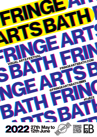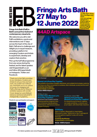#### **Fringe Arts Bath Fringe Arts Bath INGE ARTS BATI**  $\overline{\phantom{0}}$ **27 May, 6pm 'til late 27 May to 27 May to Opening Night Arty Party Join us in all FaB venues for a playful night of 12 June 2022 12 June 2022 performance, events and art, celebrating the opening of FaB Festival 2022**

# **Fringe Arts Bath (FaB) is Bath's annual free festival of contemporary visual arts.**

We welcome you all to visit FaB's exhibitions, events and interventions over 17 days across the heart of the city of Bath. FaB aims to challenge and delight you in equal measure, providing a platform for emerging Curators and Artists to experiment, develop and explore their practice.

Pick up the full FaB programme from any venue during the festival, and for latest updates visit fringeartsbath.co.uk and follow @fringeartsbath on Instagram, Twitter and Facebook.

Thank you to the FaB committee, to our volunteers, Curators and Artists for all your time and hard work, we couldn't do it without you. And thank you to our visitors of course, for engaging with FaB's offerings and for filling our exhibition spaces with wonder. Cover design by Lewis Melluish

behance.net/lewismelluishGFX Instagram@\_l.m.graphics\_

**Thanks for your participation and support:** 



# **44AD Artspace**



#### *© Tim Kavanagh*

#### **Rewind: Let's Press Play Together**

This exhibition showcases nostalgia, playfulness, and outdated technologies: exploring how these can affect connectivity to ourselves, other individuals, society and the world. *Curated by Jenny Alderton*

*fringeartsbath.co.uk/rewind Venue: 44AD artspace*

#### **29 May, 6-7pm Invisible Cities (Rewind: Let's Press Play Together)**

Movement improvisation and live drawing explores imagined cities in an immersive interdisciplinary performance, with Scirocco Dance Theatre Company.



#### **4 to 8 June times TBC Alchemy of Art and the Gift (Rewind: Let's Press Play Together)** An interactive performance: together we create something - a memory and an art object, with Artist Holly Crawford.

## **WORDplay**

Silent or spoken. Meaningful or meaningless. Whimsical or sober. Telling truth or lies. A salmagundi of Artists gathers together to play with words. eriously.

*Curated by Geoff Dunlop fringeartsbath.co.uk/wordplay Venue: 44AD artspace*

*For latest updates see www.fringeartsbath.co.uk*  $\mathbb{E}[\mathcal{F}|\mathcal{F}]$  @fringeartsbath #FaB22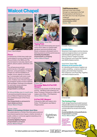# **Walcot Chapel**



*Fluxus - David Lilliington*

#### **Fluxus**

Contemporary Artists have made new works based on scores written by the Fluxus Artists in the 1960s and 70s. Scores based on everyday objects and actions, absurd, playful, subversive, 'anti art'.

You will see group and solo performances, in the gallery and around the town, some participatory. In Walcot Chapel you will find installations of images, sound, objects re-invented, eg - a conversation with a bird, music made by pouring wine and jangling coins. A balloon race. Parcels wrapped & unwrapped, broken furniture repaired with bandages. Paintings to be stepped on, and many mores surprises. *Curated by Rachel Cohen*

*fringeartsbath.co.uk/fluxus* 

#### **27, 28 and 29 May also 3, 4 and 5 June**

Live events and performances in and around Walcot Chapel across these two weekends as part of the Fluxus exhibition.

*See fringeartsbath.co.uk/events for event details and times Venue: Walcot Chapel* 

**Space: A screening of Artists' short films**

A curated selection of Artists' films that explore personal and shared experiences of space, whether domestic or public, solitary or communal, against a backdrop of an

**9 June, 7-8pm** 

ever-changing world. *Curated by Sightlines Projects fringeartsbath.co.uk/space Venue: Walcot Chapel*



**27 and 28 May times TBC Tipping Point**

A two-day event showcasing new sound works which reflect our global health pandemic and environmental crisis. Eleven composers will present work in listening sessions and live performances. *Curated by Anna Novakov fringeartsbath.co.uk/tipping Venue: Walcot Chapel* 



#### **5 June, 7pm Screening: 'Make It A Fair COP, Glasgow'**

Views from the streets of COP 26 climate summit - Jeff Bezos was invited but not Greta Thunberg. Followed by a Q&A with makers John Potter / Phil Shepherd. *Venue: Walcot Chapel* 

## **It A Fair COP, Glasgow'**

Followed by Q&A with makers John Potter / Phil Shepherd, see Walcot Chapel section.

Sightlines<br>Projects

## **FaB Photomarathon -**

Discover a new view of Bath through our responses to the FaB Photomarathon's 20 themes, in this 16th year of our day-long photo challenge.

*www.fringeartsbath.co.uk/ photomarathon-2022 Venue : TBC*



*© Invisible Theatre Company*

#### **Invisible Cities.**

Movement improvisation and live drawing explores imagined cities in an immersive interdisciplinary performance, with Scirocco Dance Theatre Company. Part of Rewind: Let's Press Play Together, see 44AD artspace section.

#### **4 to 8 June Times TBC Alchemy of Art and the Gift.**

An interactive performance: together we create something - a memory and an art object, with Artist Holly Crawford. Part of Rewind: Let's Press Play Together, see 44AD artspace section.



*© Hamish Gain*

#### **The Coming of Age**

Youth, old age, the journey to adult-hood and intergenerational views are represented here: the practical problems and philosophical concerns about how we are in the world at any age.

*Curated by Bella Kerr & Amanda Roderick, fringeartsbath.co.uk/age Venue: Milsom Place* 

Venues TBC, please visit fringeartsbath. co.uk for updated details,

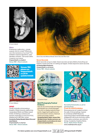

*© Lisa Lindqvist*

#### **Glitch**

A temporary malfunction… a break, a pause, time for a reset? Where are we in the mechanics of our lives? This exhibition explores algorithms, cyber identities, evolution… the human within. *Curated by Lisa Lindqvist fringeartsbath.co.uk/glitch Venue TBC - Check website*



*Venues TBC, please see fringeartsbath. co.uk for updated details*



*Seven Seconds Melissa Wraxall, Seven Seconds Red-Gold*

### **Seven Seconds**

Seven seconds can go in a flash. Seven seconds can last a lifetime. Everything can happen in seven seconds. Or nothing can happen. Artists respond to seven seconds.

*fringeartsbath.co.uk/seven Venue TBC - Check website*



*© Hunk Williams*

#### **GRWP**

Cardiff Umbrella is showcasing a breadth of Welsh diversity; platforming marginalised Welsh and Wales-based Artists. Exhibiting a cohesive and dynamic exploration of work from POC, disabled and LGBTQIA+ artists.

*Curated by Paisley Randell, Robert Oros and Luke Roberts fringeartsbath.co.uk/grwp Venue TBC - Check website*



*© Caroline Fraser*

#### **Bath Photography Festival Evidence**

How do we communicate and interpret photographs as a visual language? The work on display explores these points, triggering thoughts around the environment, memory, historical events and image creation. *Curated by Simon Taylor, venues: Sion Hill, Bath Artists' Studios and more, see fringeartsbath.co.uk/evidence for more venues and opening times.*



**See bathartistsstudios.co.uk for opening times**

## **Fresh Art 2022 Exhibition**

Showcasing new art created to enliven the walls of clinical settings. Inspired by workshops at Bath Museums supporting positive mental health through engagement with local community culture. Free creative workshops, see online for timings. Curated by Creativity Works. *Venue: Bath Artists' Studios www.creativityworks.org.uk*

*For latest updates see www.fringeartsbath.co.uk*  $\boxed{\odot}$   $\boxed{\{}$   $\boxed{\{}$   $\}}$   $\boxed{\odot}$  *@fringeartsbath #FaB22*